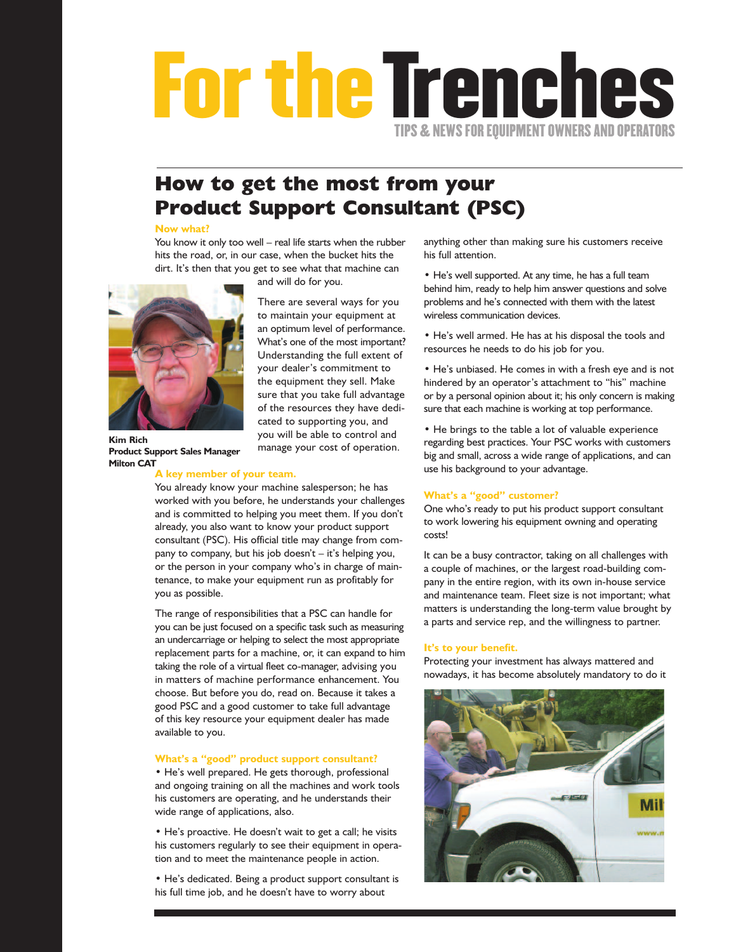## **FortheTrenches TIPS&NEWS FOR EQUIPMENT OWNERS AND OPERATORS**

### **How to get the most from your Product Support Consultant (PSC)**

There are several ways for you to maintain your equipment at an optimum level of performance. What's one of the most important? Understanding the full extent of your dealer's commitment to the equipment they sell. Make sure that you take full advantage of the resources they have dedicated to supporting you, and you will be able to control and manage your cost of operation.

#### **Now what?**

You know it only too well – real life starts when the rubber hits the road, or, in our case, when the bucket hits the dirt. It's then that you get to see what that machine can

and will do for you.



**Kim Rich Product Support Sales Manager Milton CAT**

#### **A key member of your team.**

You already know your machine salesperson; he has worked with you before, he understands your challenges and is committed to helping you meet them. If you don't already, you also want to know your product support consultant (PSC). His official title may change from company to company, but his job doesn't – it's helping you, or the person in your company who's in charge of maintenance, to make your equipment run as profitably for you as possible.

The range of responsibilities that a PSC can handle for you can be just focused on a specific task such as measuring an undercarriage or helping to select the most appropriate replacement parts for a machine, or, it can expand to him taking the role of a virtual fleet co-manager, advising you in matters of machine performance enhancement. You choose. But before you do, read on. Because it takes a good PSC and a good customer to take full advantage of this key resource your equipment dealer has made available to you.

#### **What's a "good" product support consultant?**

• He's well prepared. He gets thorough, professional and ongoing training on all the machines and work tools his customers are operating, and he understands their wide range of applications, also.

• He's proactive. He doesn't wait to get a call; he visits his customers regularly to see their equipment in operation and to meet the maintenance people in action.

• He's dedicated. Being a product support consultant is his full time job, and he doesn't have to worry about

anything other than making sure his customers receive his full attention.

• He's well supported. At any time, he has a full team behind him, ready to help him answer questions and solve problems and he's connected with them with the latest wireless communication devices.

• He's well armed. He has at his disposal the tools and resources he needs to do his job for you.

• He's unbiased. He comes in with a fresh eye and is not hindered by an operator's attachment to "his" machine or by a personal opinion about it; his only concern is making sure that each machine is working at top performance.

• He brings to the table a lot of valuable experience regarding best practices. Your PSC works with customers big and small, across a wide range of applications, and can use his background to your advantage.

#### **What's a "good" customer?**

One who's ready to put his product support consultant to work lowering his equipment owning and operating costs!

It can be a busy contractor, taking on all challenges with a couple of machines, or the largest road-building company in the entire region, with its own in-house service and maintenance team. Fleet size is not important; what matters is understanding the long-term value brought by a parts and service rep, and the willingness to partner.

#### **It's to your benefit.**

Protecting your investment has always mattered and nowadays, it has become absolutely mandatory to do it